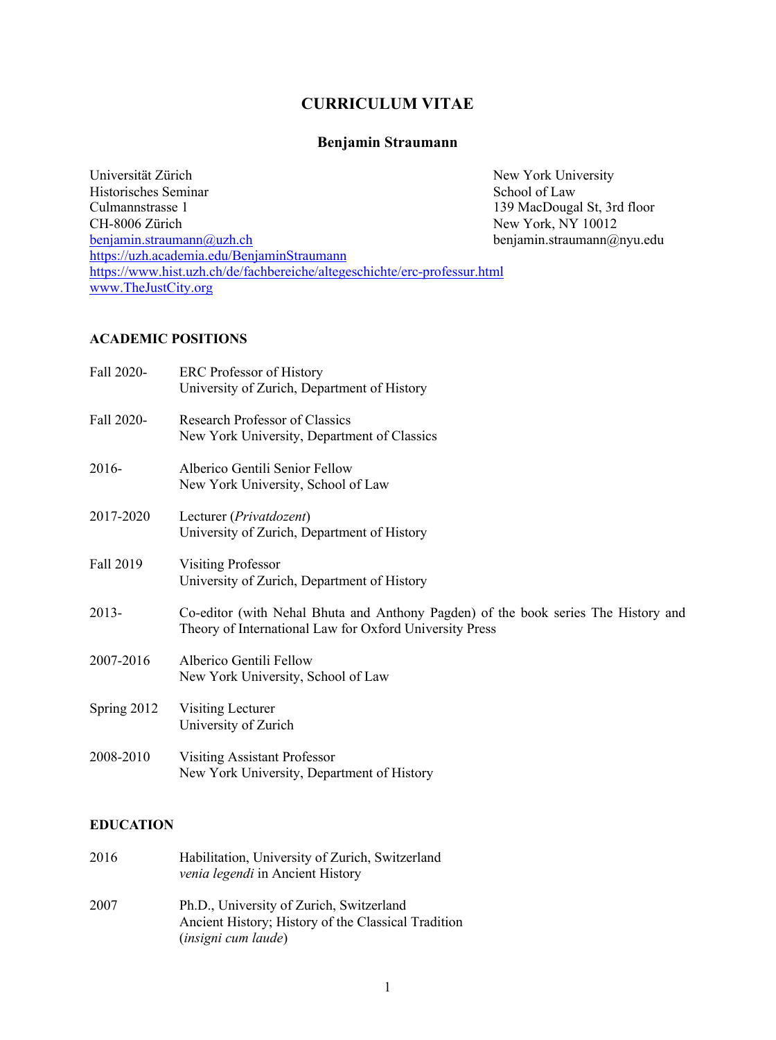# **CURRICULUM VITAE**

### **Benjamin Straumann**

Universität Zürich New York University Historisches Seminar<br>
Culmannstrasse 1 139 MacDouga Culmannstrasse 1 139 MacDougal St, 3rd floor<br>CH-8006 Zürich 139 MacDougal St, 3rd floor<br>New York, NY 10012 New York, NY 10012 benjamin.straumann@uzh.ch benjamin.straumann@nyu.edu https://uzh.academia.edu/BenjaminStraumann https://www.hist.uzh.ch/de/fachbereiche/altegeschichte/erc-professur.html www.TheJustCity.org

#### **ACADEMIC POSITIONS**

| Fall 2020-  | <b>ERC</b> Professor of History<br>University of Zurich, Department of History                                                                |
|-------------|-----------------------------------------------------------------------------------------------------------------------------------------------|
| Fall 2020-  | Research Professor of Classics<br>New York University, Department of Classics                                                                 |
| 2016-       | Alberico Gentili Senior Fellow<br>New York University, School of Law                                                                          |
| 2017-2020   | Lecturer (Privatdozent)<br>University of Zurich, Department of History                                                                        |
| Fall 2019   | <b>Visiting Professor</b><br>University of Zurich, Department of History                                                                      |
| 2013-       | Co-editor (with Nehal Bhuta and Anthony Pagden) of the book series The History and<br>Theory of International Law for Oxford University Press |
| 2007-2016   | Alberico Gentili Fellow<br>New York University, School of Law                                                                                 |
| Spring 2012 | Visiting Lecturer<br>University of Zurich                                                                                                     |
| 2008-2010   | Visiting Assistant Professor<br>New York University, Department of History                                                                    |

#### **EDUCATION**

| 2016 | Habilitation, University of Zurich, Switzerland<br>venia legendi in Ancient History                                           |
|------|-------------------------------------------------------------------------------------------------------------------------------|
| 2007 | Ph.D., University of Zurich, Switzerland<br>Ancient History; History of the Classical Tradition<br><i>(insigni cum laude)</i> |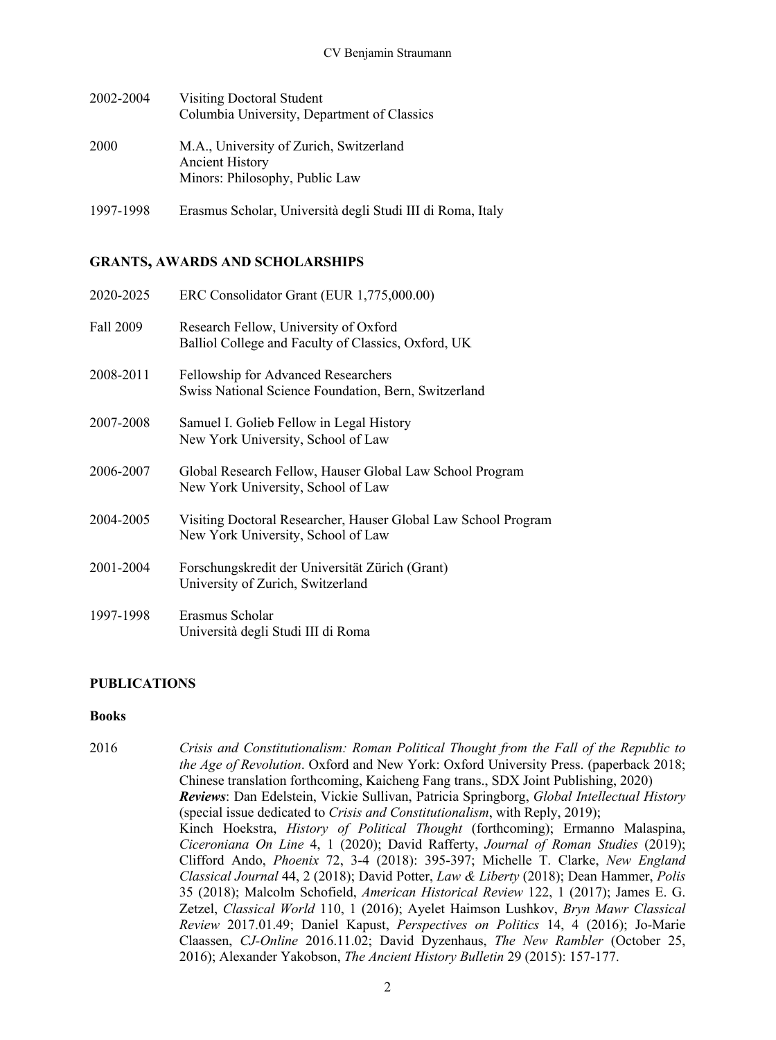| 2002-2004 | Visiting Doctoral Student<br>Columbia University, Department of Classics                            |
|-----------|-----------------------------------------------------------------------------------------------------|
| 2000      | M.A., University of Zurich, Switzerland<br><b>Ancient History</b><br>Minors: Philosophy, Public Law |

1997-1998 Erasmus Scholar, Università degli Studi III di Roma, Italy

# **GRANTS, AWARDS AND SCHOLARSHIPS**

| 2020-2025 | ERC Consolidator Grant (EUR 1,775,000.00)                                                            |
|-----------|------------------------------------------------------------------------------------------------------|
| Fall 2009 | Research Fellow, University of Oxford<br>Balliol College and Faculty of Classics, Oxford, UK         |
| 2008-2011 | Fellowship for Advanced Researchers<br>Swiss National Science Foundation, Bern, Switzerland          |
| 2007-2008 | Samuel I. Golieb Fellow in Legal History<br>New York University, School of Law                       |
| 2006-2007 | Global Research Fellow, Hauser Global Law School Program<br>New York University, School of Law       |
| 2004-2005 | Visiting Doctoral Researcher, Hauser Global Law School Program<br>New York University, School of Law |
| 2001-2004 | Forschungskredit der Universität Zürich (Grant)<br>University of Zurich, Switzerland                 |
| 1997-1998 | Erasmus Scholar<br>Università degli Studi III di Roma                                                |

# **PUBLICATIONS**

# **Books**

| 2016 | Crisis and Constitutionalism: Roman Political Thought from the Fall of the Republic to        |
|------|-----------------------------------------------------------------------------------------------|
|      | the Age of Revolution. Oxford and New York: Oxford University Press. (paperback 2018;         |
|      | Chinese translation forthcoming, Kaicheng Fang trans., SDX Joint Publishing, 2020)            |
|      | Reviews: Dan Edelstein, Vickie Sullivan, Patricia Springborg, Global Intellectual History     |
|      | (special issue dedicated to <i>Crisis and Constitutionalism</i> , with Reply, 2019);          |
|      | Kinch Hoekstra, <i>History of Political Thought</i> (forthcoming); Ermanno Malaspina,         |
|      | Ciceroniana On Line 4, 1 (2020); David Rafferty, Journal of Roman Studies (2019);             |
|      | Clifford Ando, <i>Phoenix</i> 72, 3-4 (2018): 395-397; Michelle T. Clarke, <i>New England</i> |
|      | Classical Journal 44, 2 (2018); David Potter, Law & Liberty (2018); Dean Hammer, Polis        |
|      | 35 (2018); Malcolm Schofield, American Historical Review 122, 1 (2017); James E. G.           |
|      | Zetzel, Classical World 110, 1 (2016); Ayelet Haimson Lushkov, Bryn Mawr Classical            |
|      | Review 2017.01.49; Daniel Kapust, Perspectives on Politics 14, 4 (2016); Jo-Marie             |
|      | Claassen, CJ-Online 2016.11.02; David Dyzenhaus, The New Rambler (October 25,                 |
|      | 2016); Alexander Yakobson, The Ancient History Bulletin 29 (2015): 157-177.                   |
|      |                                                                                               |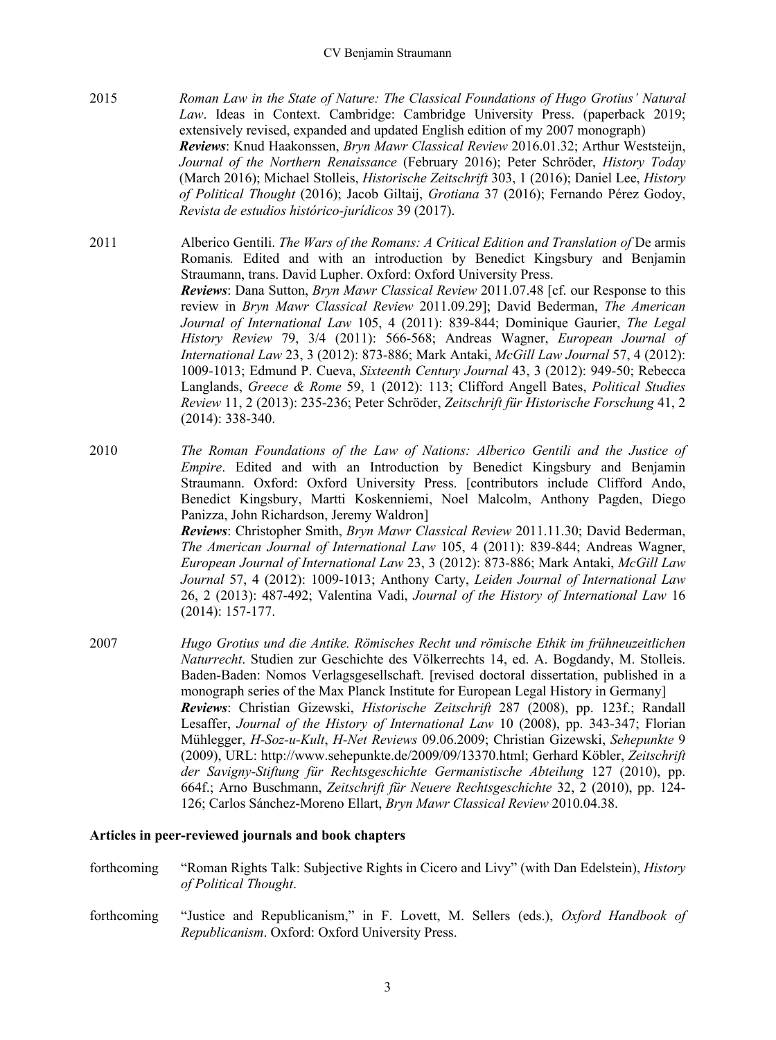2015 *Roman Law in the State of Nature: The Classical Foundations of Hugo Grotius' Natural Law*. Ideas in Context. Cambridge: Cambridge University Press. (paperback 2019; extensively revised, expanded and updated English edition of my 2007 monograph) *Reviews*: Knud Haakonssen, *Bryn Mawr Classical Review* 2016.01.32; Arthur Weststeijn, *Journal of the Northern Renaissance* (February 2016); Peter Schröder, *History Today* (March 2016); Michael Stolleis, *Historische Zeitschrift* 303, 1 (2016); Daniel Lee, *History of Political Thought* (2016); Jacob Giltaij, *Grotiana* 37 (2016); Fernando Pérez Godoy, *Revista de estudios histórico-jurídicos* 39 (2017).

2011 Alberico Gentili. *The Wars of the Romans: A Critical Edition and Translation of* De armis Romanis*.* Edited and with an introduction by Benedict Kingsbury and Benjamin Straumann, trans. David Lupher. Oxford: Oxford University Press. *Reviews*: Dana Sutton, *Bryn Mawr Classical Review* 2011.07.48 [cf. our Response to this review in *Bryn Mawr Classical Review* 2011.09.29]; David Bederman, *The American Journal of International Law* 105, 4 (2011): 839-844; Dominique Gaurier, *The Legal History Review* 79, 3/4 (2011): 566-568; Andreas Wagner, *European Journal of International Law* 23, 3 (2012): 873-886; Mark Antaki, *McGill Law Journal* 57, 4 (2012): 1009-1013; Edmund P. Cueva, *Sixteenth Century Journal* 43, 3 (2012): 949-50; Rebecca Langlands, *Greece & Rome* 59, 1 (2012): 113; Clifford Angell Bates, *Political Studies Review* 11, 2 (2013): 235-236; Peter Schröder, *Zeitschrift für Historische Forschung* 41, 2 (2014): 338-340.

2010 *The Roman Foundations of the Law of Nations: Alberico Gentili and the Justice of Empire*. Edited and with an Introduction by Benedict Kingsbury and Benjamin Straumann. Oxford: Oxford University Press. [contributors include Clifford Ando, Benedict Kingsbury, Martti Koskenniemi, Noel Malcolm, Anthony Pagden, Diego Panizza, John Richardson, Jeremy Waldron]

*Reviews*: Christopher Smith, *Bryn Mawr Classical Review* 2011.11.30; David Bederman, *The American Journal of International Law* 105, 4 (2011): 839-844; Andreas Wagner, *European Journal of International Law* 23, 3 (2012): 873-886; Mark Antaki, *McGill Law Journal* 57, 4 (2012): 1009-1013; Anthony Carty, *Leiden Journal of International Law* 26, 2 (2013): 487-492; Valentina Vadi, *Journal of the History of International Law* 16 (2014): 157-177.

2007 *Hugo Grotius und die Antike. Römisches Recht und römische Ethik im frühneuzeitlichen Naturrecht*. Studien zur Geschichte des Völkerrechts 14, ed. A. Bogdandy, M. Stolleis. Baden-Baden: Nomos Verlagsgesellschaft. [revised doctoral dissertation, published in a monograph series of the Max Planck Institute for European Legal History in Germany] *Reviews*: Christian Gizewski, *Historische Zeitschrift* 287 (2008), pp. 123f.; Randall Lesaffer, *Journal of the History of International Law* 10 (2008), pp. 343-347; Florian Mühlegger, *H-Soz-u-Kult*, *H-Net Reviews* 09.06.2009; Christian Gizewski, *Sehepunkte* 9 (2009), URL: http://www.sehepunkte.de/2009/09/13370.html; Gerhard Köbler, *Zeitschrift der Savigny-Stiftung für Rechtsgeschichte Germanistische Abteilung* 127 (2010), pp. 664f.; Arno Buschmann, *Zeitschrift für Neuere Rechtsgeschichte* 32, 2 (2010), pp. 124- 126; Carlos Sánchez-Moreno Ellart, *Bryn Mawr Classical Review* 2010.04.38.

### **Articles in peer-reviewed journals and book chapters**

- forthcoming "Roman Rights Talk: Subjective Rights in Cicero and Livy" (with Dan Edelstein), *History of Political Thought*.
- forthcoming "Justice and Republicanism," in F. Lovett, M. Sellers (eds.), *Oxford Handbook of Republicanism*. Oxford: Oxford University Press.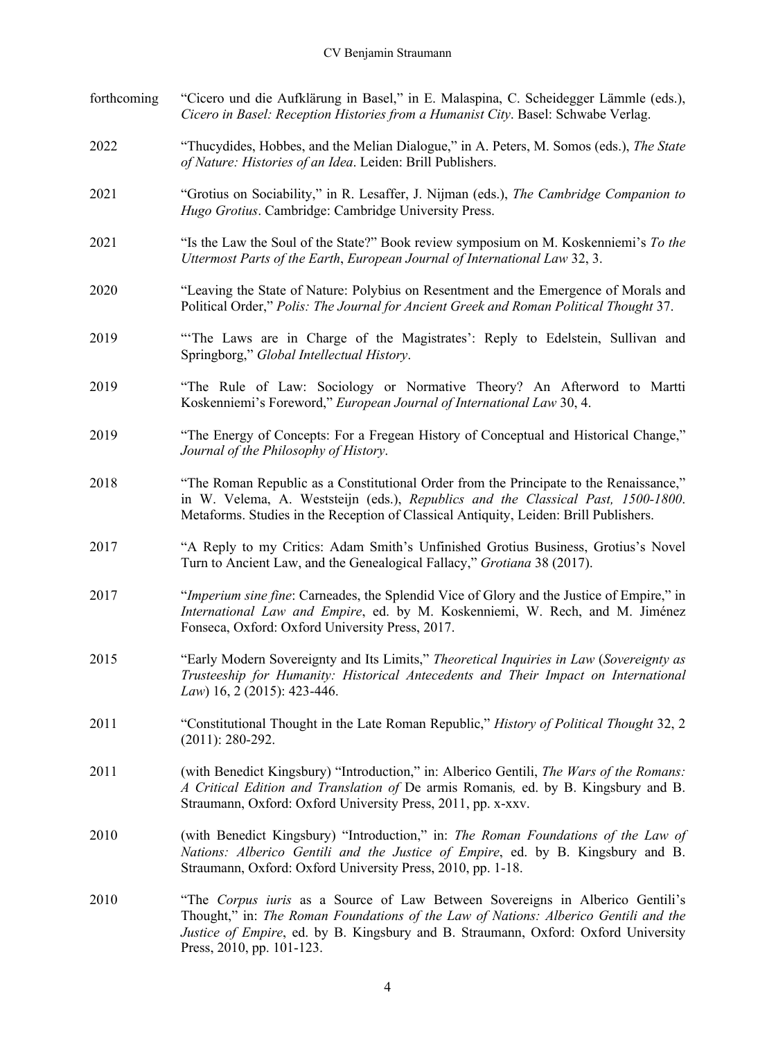| forthcoming | "Cicero und die Aufklärung in Basel," in E. Malaspina, C. Scheidegger Lämmle (eds.),<br>Cicero in Basel: Reception Histories from a Humanist City. Basel: Schwabe Verlag.                                                                                                               |
|-------------|-----------------------------------------------------------------------------------------------------------------------------------------------------------------------------------------------------------------------------------------------------------------------------------------|
| 2022        | "Thucydides, Hobbes, and the Melian Dialogue," in A. Peters, M. Somos (eds.), The State<br>of Nature: Histories of an Idea. Leiden: Brill Publishers.                                                                                                                                   |
| 2021        | "Grotius on Sociability," in R. Lesaffer, J. Nijman (eds.), The Cambridge Companion to<br>Hugo Grotius. Cambridge: Cambridge University Press.                                                                                                                                          |
| 2021        | "Is the Law the Soul of the State?" Book review symposium on M. Koskenniemi's To the<br>Uttermost Parts of the Earth, European Journal of International Law 32, 3.                                                                                                                      |
| 2020        | "Leaving the State of Nature: Polybius on Resentment and the Emergence of Morals and<br>Political Order," Polis: The Journal for Ancient Greek and Roman Political Thought 37.                                                                                                          |
| 2019        | "The Laws are in Charge of the Magistrates': Reply to Edelstein, Sullivan and<br>Springborg," Global Intellectual History.                                                                                                                                                              |
| 2019        | "The Rule of Law: Sociology or Normative Theory? An Afterword to Martti<br>Koskenniemi's Foreword," European Journal of International Law 30, 4.                                                                                                                                        |
| 2019        | "The Energy of Concepts: For a Fregean History of Conceptual and Historical Change,"<br>Journal of the Philosophy of History.                                                                                                                                                           |
| 2018        | "The Roman Republic as a Constitutional Order from the Principate to the Renaissance,"<br>in W. Velema, A. Weststeijn (eds.), Republics and the Classical Past, 1500-1800.<br>Metaforms. Studies in the Reception of Classical Antiquity, Leiden: Brill Publishers.                     |
| 2017        | "A Reply to my Critics: Adam Smith's Unfinished Grotius Business, Grotius's Novel<br>Turn to Ancient Law, and the Genealogical Fallacy," Grotiana 38 (2017).                                                                                                                            |
| 2017        | "Imperium sine fine: Carneades, the Splendid Vice of Glory and the Justice of Empire," in<br>International Law and Empire, ed. by M. Koskenniemi, W. Rech, and M. Jiménez<br>Fonseca, Oxford: Oxford University Press, 2017.                                                            |
| 2015        | "Early Modern Sovereignty and Its Limits," Theoretical Inquiries in Law (Sovereignty as<br>Trusteeship for Humanity: Historical Antecedents and Their Impact on International<br>Law) 16, 2 (2015): 423-446.                                                                            |
| 2011        | "Constitutional Thought in the Late Roman Republic," History of Political Thought 32, 2<br>$(2011): 280-292.$                                                                                                                                                                           |
| 2011        | (with Benedict Kingsbury) "Introduction," in: Alberico Gentili, The Wars of the Romans:<br>A Critical Edition and Translation of De armis Romanis, ed. by B. Kingsbury and B.<br>Straumann, Oxford: Oxford University Press, 2011, pp. x-xxv.                                           |
| 2010        | (with Benedict Kingsbury) "Introduction," in: The Roman Foundations of the Law of<br>Nations: Alberico Gentili and the Justice of Empire, ed. by B. Kingsbury and B.<br>Straumann, Oxford: Oxford University Press, 2010, pp. 1-18.                                                     |
| 2010        | "The Corpus iuris as a Source of Law Between Sovereigns in Alberico Gentili's<br>Thought," in: The Roman Foundations of the Law of Nations: Alberico Gentili and the<br>Justice of Empire, ed. by B. Kingsbury and B. Straumann, Oxford: Oxford University<br>Press, 2010, pp. 101-123. |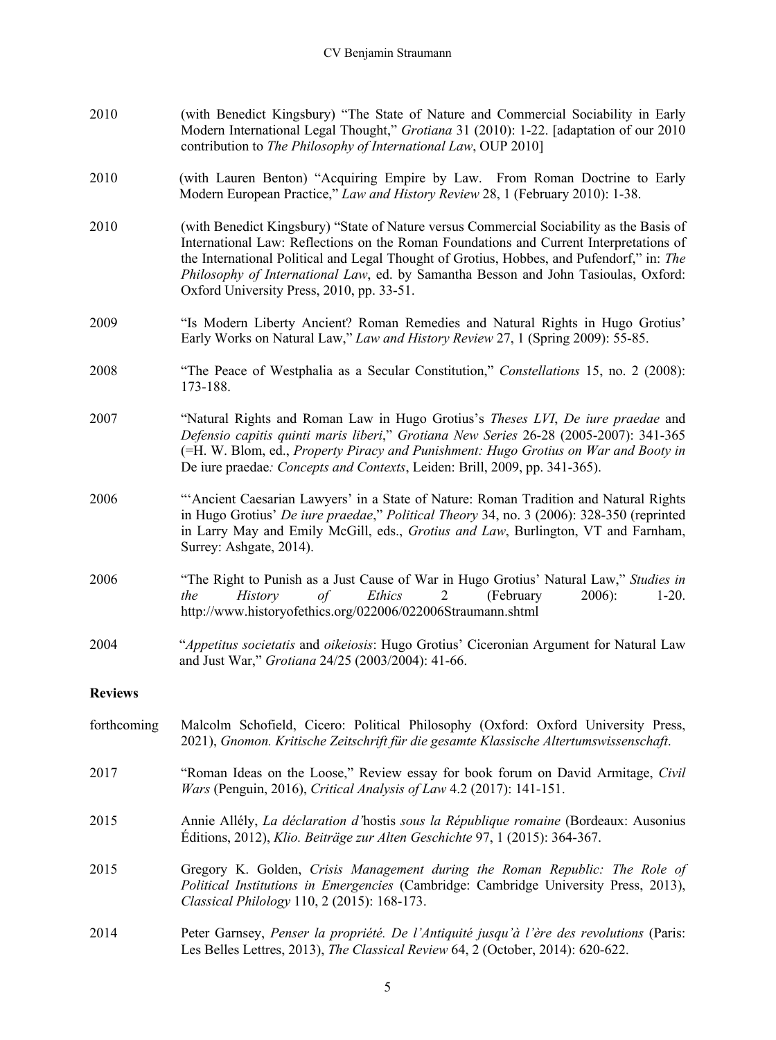| 2010           | (with Benedict Kingsbury) "The State of Nature and Commercial Sociability in Early<br>Modern International Legal Thought," Grotiana 31 (2010): 1-22. [adaptation of our 2010<br>contribution to The Philosophy of International Law, OUP 2010]                                                                                                                                                                      |
|----------------|---------------------------------------------------------------------------------------------------------------------------------------------------------------------------------------------------------------------------------------------------------------------------------------------------------------------------------------------------------------------------------------------------------------------|
| 2010           | (with Lauren Benton) "Acquiring Empire by Law. From Roman Doctrine to Early<br>Modern European Practice," Law and History Review 28, 1 (February 2010): 1-38.                                                                                                                                                                                                                                                       |
| 2010           | (with Benedict Kingsbury) "State of Nature versus Commercial Sociability as the Basis of<br>International Law: Reflections on the Roman Foundations and Current Interpretations of<br>the International Political and Legal Thought of Grotius, Hobbes, and Pufendorf," in: The<br>Philosophy of International Law, ed. by Samantha Besson and John Tasioulas, Oxford:<br>Oxford University Press, 2010, pp. 33-51. |
| 2009           | "Is Modern Liberty Ancient? Roman Remedies and Natural Rights in Hugo Grotius"<br>Early Works on Natural Law," Law and History Review 27, 1 (Spring 2009): 55-85.                                                                                                                                                                                                                                                   |
| 2008           | "The Peace of Westphalia as a Secular Constitution," Constellations 15, no. 2 (2008):<br>173-188.                                                                                                                                                                                                                                                                                                                   |
| 2007           | "Natural Rights and Roman Law in Hugo Grotius's Theses LVI, De iure praedae and<br>Defensio capitis quinti maris liberi," Grotiana New Series 26-28 (2005-2007): 341-365<br>(=H. W. Blom, ed., Property Piracy and Punishment: Hugo Grotius on War and Booty in<br>De iure praedae: Concepts and Contexts, Leiden: Brill, 2009, pp. 341-365).                                                                       |
| 2006           | "Ancient Caesarian Lawyers' in a State of Nature: Roman Tradition and Natural Rights<br>in Hugo Grotius' De iure praedae," Political Theory 34, no. 3 (2006): 328-350 (reprinted<br>in Larry May and Emily McGill, eds., Grotius and Law, Burlington, VT and Farnham,<br>Surrey: Ashgate, 2014).                                                                                                                    |
| 2006           | "The Right to Punish as a Just Cause of War in Hugo Grotius' Natural Law," Studies in<br>Ethics<br>(February<br>History<br>$\sigma f$<br>$2006$ :<br>$1-20.$<br>the<br>2<br>http://www.historyofethics.org/022006/022006Straumann.shtml                                                                                                                                                                             |
| 2004           | "Appetitus societatis and oikeiosis: Hugo Grotius' Ciceronian Argument for Natural Law<br>and Just War," Grotiana 24/25 (2003/2004): 41-66.                                                                                                                                                                                                                                                                         |
| <b>Reviews</b> |                                                                                                                                                                                                                                                                                                                                                                                                                     |
| forthcoming    | Malcolm Schofield, Cicero: Political Philosophy (Oxford: Oxford University Press,<br>2021), Gnomon. Kritische Zeitschrift für die gesamte Klassische Altertumswissenschaft.                                                                                                                                                                                                                                         |
| 2017           | "Roman Ideas on the Loose," Review essay for book forum on David Armitage, Civil<br>Wars (Penguin, 2016), Critical Analysis of Law 4.2 (2017): 141-151.                                                                                                                                                                                                                                                             |
| 2015           | Annie Allély, La déclaration d'hostis sous la République romaine (Bordeaux: Ausonius<br>Editions, 2012), Klio. Beiträge zur Alten Geschichte 97, 1 (2015): 364-367.                                                                                                                                                                                                                                                 |
| 2015           | Gregory K. Golden, Crisis Management during the Roman Republic: The Role of<br>Political Institutions in Emergencies (Cambridge: Cambridge University Press, 2013),<br>Classical Philology 110, 2 (2015): 168-173.                                                                                                                                                                                                  |
| 2014           | Peter Garnsey, Penser la propriété. De l'Antiquité jusqu'à l'ère des revolutions (Paris:<br>Les Belles Lettres, 2013), The Classical Review 64, 2 (October, 2014): 620-622.                                                                                                                                                                                                                                         |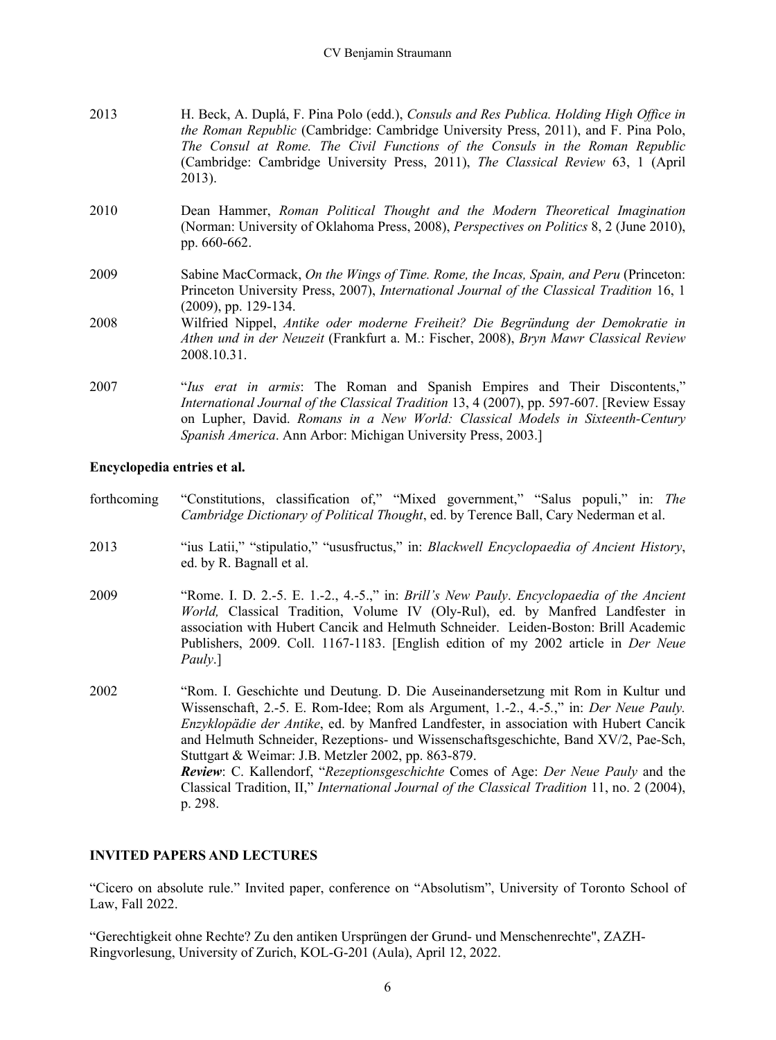| 2013 | H. Beck, A. Duplá, F. Pina Polo (edd.), Consuls and Res Publica. Holding High Office in<br><i>the Roman Republic</i> (Cambridge: Cambridge University Press, 2011), and F. Pina Polo,<br>The Consul at Rome. The Civil Functions of the Consuls in the Roman Republic<br>(Cambridge: Cambridge University Press, 2011), The Classical Review 63, 1 (April<br>2013). |
|------|---------------------------------------------------------------------------------------------------------------------------------------------------------------------------------------------------------------------------------------------------------------------------------------------------------------------------------------------------------------------|
| 2010 | Dean Hammer, Roman Political Thought and the Modern Theoretical Imagination<br>(Norman: University of Oklahoma Press, 2008), <i>Perspectives on Politics</i> 8, 2 (June 2010),<br>pp. 660-662.                                                                                                                                                                      |
| 2009 | Sabine MacCormack, On the Wings of Time. Rome, the Incas, Spain, and Peru (Princeton:<br>Princeton University Press, 2007), International Journal of the Classical Tradition 16, 1<br>$(2009)$ , pp. 129-134.                                                                                                                                                       |
| 2008 | Wilfried Nippel, Antike oder moderne Freiheit? Die Begründung der Demokratie in<br>Athen und in der Neuzeit (Frankfurt a. M.: Fischer, 2008), Bryn Mawr Classical Review<br>2008.10.31.                                                                                                                                                                             |
| 2007 | "Ius erat in armis: The Roman and Spanish Empires and Their Discontents,"<br>International Journal of the Classical Tradition 13, 4 (2007), pp. 597-607. [Review Essay<br>on Lupher, David. Romans in a New World: Classical Models in Sixteenth-Century<br>Spanish America. Ann Arbor: Michigan University Press, 2003.]                                           |

### **Encyclopedia entries et al.**

| forthcoming | "Constitutions, classification of," "Mixed government," "Salus populi," in: The<br>Cambridge Dictionary of Political Thought, ed. by Terence Ball, Cary Nederman et al.                                                                                                                                                                                                                                                                                                                                                                                                                                                                                                                                                                                              |
|-------------|----------------------------------------------------------------------------------------------------------------------------------------------------------------------------------------------------------------------------------------------------------------------------------------------------------------------------------------------------------------------------------------------------------------------------------------------------------------------------------------------------------------------------------------------------------------------------------------------------------------------------------------------------------------------------------------------------------------------------------------------------------------------|
| 2013        | "ius Latii," "stipulatio," "ususfructus," in: Blackwell Encyclopaedia of Ancient History,<br>ed. by R. Bagnall et al.                                                                                                                                                                                                                                                                                                                                                                                                                                                                                                                                                                                                                                                |
| 2009        | "Rome. I. D. 2.-5. E. 1.-2., 4.-5.," in: Brill's New Pauly. Encyclopaedia of the Ancient<br>World, Classical Tradition, Volume IV (Oly-Rul), ed. by Manfred Landfester in<br>association with Hubert Cancik and Helmuth Schneider. Leiden-Boston: Brill Academic<br>Publishers, 2009. Coll. 1167-1183. [English edition of my 2002 article in <i>Der Neue</i><br>Pauly.]                                                                                                                                                                                                                                                                                                                                                                                             |
| 2002        | "Rom. I. Geschichte und Deutung. D. Die Auseinandersetzung mit Rom in Kultur und<br>Wissenschaft, 2.-5. E. Rom-Idee; Rom als Argument, 1.-2., 4.-5.," in: <i>Der Neue Pauly</i> .<br>Enzyklopädie der Antike, ed. by Manfred Landfester, in association with Hubert Cancik<br>and Helmuth Schneider, Rezeptions- und Wissenschaftsgeschichte, Band XV/2, Pae-Sch,<br>Stuttgart & Weimar: J.B. Metzler 2002, pp. 863-879.<br>$\alpha$ Iz 11 1 $\alpha$ is $\alpha$ is $\alpha$ if $\alpha$ is $\alpha$ if $\alpha$ is $\alpha$ if $\alpha$ is $\alpha$ if $\alpha$ is $\alpha$ if $\alpha$ is $\alpha$ if $\alpha$ is $\alpha$ if $\alpha$ is $\alpha$ if $\alpha$ is $\alpha$ if $\alpha$ is $\alpha$ if $\alpha$ is $\alpha$ if $\alpha$ is $\alpha$ if $\alpha$ is |

*Review*: C. Kallendorf, "*Rezeptionsgeschichte* Comes of Age: *Der Neue Pauly* and the Classical Tradition, II," *International Journal of the Classical Tradition* 11, no. 2 (2004), p. 298.

# **INVITED PAPERS AND LECTURES**

"Cicero on absolute rule." Invited paper, conference on "Absolutism", University of Toronto School of Law, Fall 2022.

"Gerechtigkeit ohne Rechte? Zu den antiken Ursprüngen der Grund- und Menschenrechte", ZAZH-Ringvorlesung, University of Zurich, KOL-G-201 (Aula), April 12, 2022.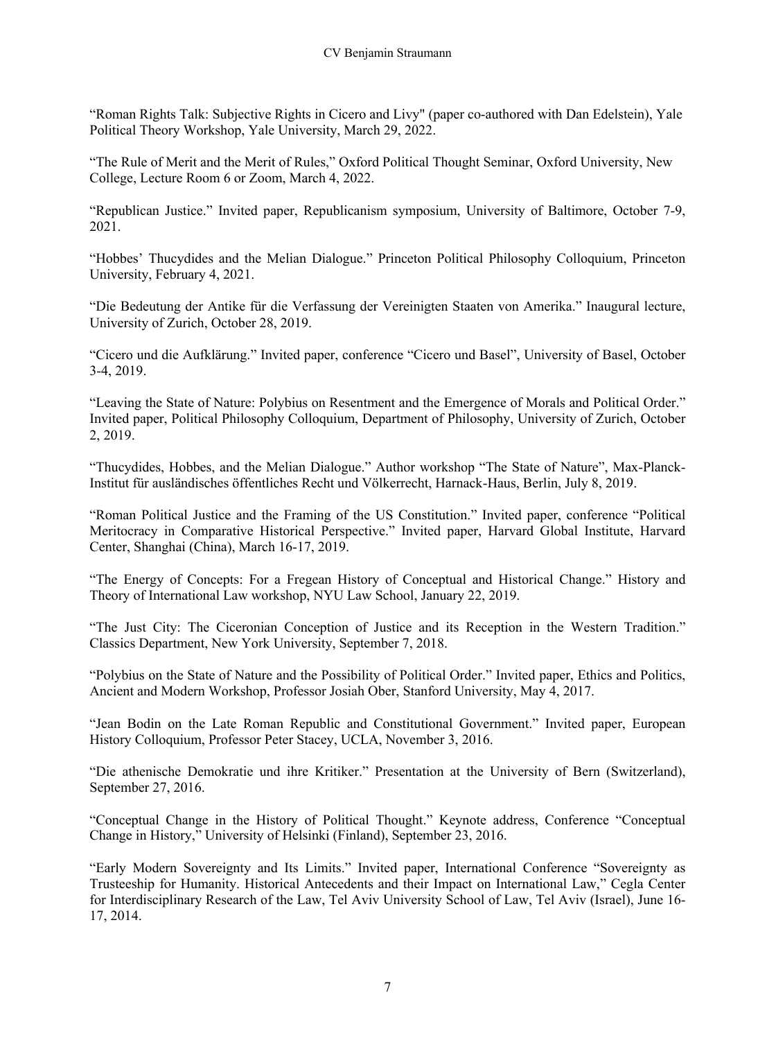"Roman Rights Talk: Subjective Rights in Cicero and Livy" (paper co-authored with Dan Edelstein), Yale Political Theory Workshop, Yale University, March 29, 2022.

"The Rule of Merit and the Merit of Rules," Oxford Political Thought Seminar, Oxford University, New College, Lecture Room 6 or Zoom, March 4, 2022.

"Republican Justice." Invited paper, Republicanism symposium, University of Baltimore, October 7-9, 2021.

"Hobbes' Thucydides and the Melian Dialogue." Princeton Political Philosophy Colloquium, Princeton University, February 4, 2021.

"Die Bedeutung der Antike für die Verfassung der Vereinigten Staaten von Amerika." Inaugural lecture, University of Zurich, October 28, 2019.

"Cicero und die Aufklärung." Invited paper, conference "Cicero und Basel", University of Basel, October 3-4, 2019.

"Leaving the State of Nature: Polybius on Resentment and the Emergence of Morals and Political Order." Invited paper, Political Philosophy Colloquium, Department of Philosophy, University of Zurich, October 2, 2019.

"Thucydides, Hobbes, and the Melian Dialogue." Author workshop "The State of Nature", Max-Planck-Institut für ausländisches öffentliches Recht und Völkerrecht, Harnack-Haus, Berlin, July 8, 2019.

"Roman Political Justice and the Framing of the US Constitution." Invited paper, conference "Political Meritocracy in Comparative Historical Perspective." Invited paper, Harvard Global Institute, Harvard Center, Shanghai (China), March 16-17, 2019.

"The Energy of Concepts: For a Fregean History of Conceptual and Historical Change." History and Theory of International Law workshop, NYU Law School, January 22, 2019.

"The Just City: The Ciceronian Conception of Justice and its Reception in the Western Tradition." Classics Department, New York University, September 7, 2018.

"Polybius on the State of Nature and the Possibility of Political Order." Invited paper, Ethics and Politics, Ancient and Modern Workshop, Professor Josiah Ober, Stanford University, May 4, 2017.

"Jean Bodin on the Late Roman Republic and Constitutional Government." Invited paper, European History Colloquium, Professor Peter Stacey, UCLA, November 3, 2016.

"Die athenische Demokratie und ihre Kritiker." Presentation at the University of Bern (Switzerland), September 27, 2016.

"Conceptual Change in the History of Political Thought." Keynote address, Conference "Conceptual Change in History," University of Helsinki (Finland), September 23, 2016.

"Early Modern Sovereignty and Its Limits." Invited paper, International Conference "Sovereignty as Trusteeship for Humanity. Historical Antecedents and their Impact on International Law," Cegla Center for Interdisciplinary Research of the Law, Tel Aviv University School of Law, Tel Aviv (Israel), June 16- 17, 2014.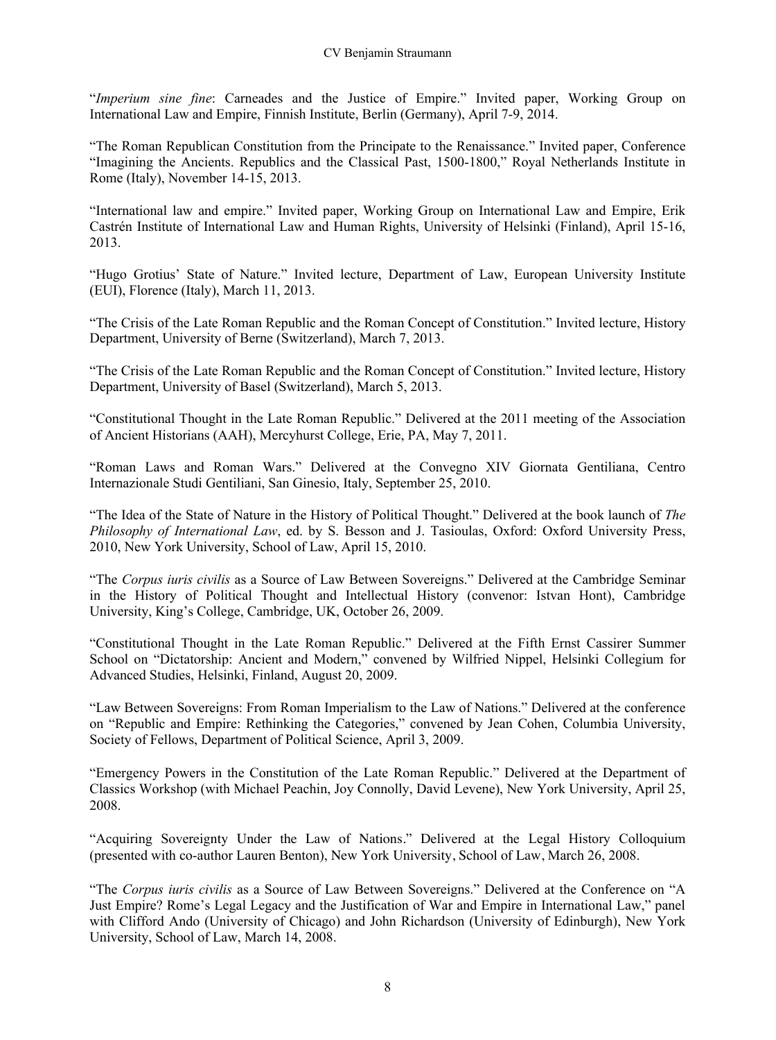"*Imperium sine fine*: Carneades and the Justice of Empire." Invited paper, Working Group on International Law and Empire, Finnish Institute, Berlin (Germany), April 7-9, 2014.

"The Roman Republican Constitution from the Principate to the Renaissance." Invited paper, Conference "Imagining the Ancients. Republics and the Classical Past, 1500-1800," Royal Netherlands Institute in Rome (Italy), November 14-15, 2013.

"International law and empire." Invited paper, Working Group on International Law and Empire, Erik Castrén Institute of International Law and Human Rights, University of Helsinki (Finland), April 15-16, 2013.

"Hugo Grotius' State of Nature." Invited lecture, Department of Law, European University Institute (EUI), Florence (Italy), March 11, 2013.

"The Crisis of the Late Roman Republic and the Roman Concept of Constitution." Invited lecture, History Department, University of Berne (Switzerland), March 7, 2013.

"The Crisis of the Late Roman Republic and the Roman Concept of Constitution." Invited lecture, History Department, University of Basel (Switzerland), March 5, 2013.

"Constitutional Thought in the Late Roman Republic." Delivered at the 2011 meeting of the Association of Ancient Historians (AAH), Mercyhurst College, Erie, PA, May 7, 2011.

"Roman Laws and Roman Wars." Delivered at the Convegno XIV Giornata Gentiliana, Centro Internazionale Studi Gentiliani, San Ginesio, Italy, September 25, 2010.

"The Idea of the State of Nature in the History of Political Thought." Delivered at the book launch of *The Philosophy of International Law*, ed. by S. Besson and J. Tasioulas, Oxford: Oxford University Press, 2010, New York University, School of Law, April 15, 2010.

"The *Corpus iuris civilis* as a Source of Law Between Sovereigns." Delivered at the Cambridge Seminar in the History of Political Thought and Intellectual History (convenor: Istvan Hont), Cambridge University, King's College, Cambridge, UK, October 26, 2009.

"Constitutional Thought in the Late Roman Republic." Delivered at the Fifth Ernst Cassirer Summer School on "Dictatorship: Ancient and Modern," convened by Wilfried Nippel, Helsinki Collegium for Advanced Studies, Helsinki, Finland, August 20, 2009.

"Law Between Sovereigns: From Roman Imperialism to the Law of Nations." Delivered at the conference on "Republic and Empire: Rethinking the Categories," convened by Jean Cohen, Columbia University, Society of Fellows, Department of Political Science, April 3, 2009.

"Emergency Powers in the Constitution of the Late Roman Republic." Delivered at the Department of Classics Workshop (with Michael Peachin, Joy Connolly, David Levene), New York University, April 25, 2008.

"Acquiring Sovereignty Under the Law of Nations." Delivered at the Legal History Colloquium (presented with co-author Lauren Benton), New York University, School of Law, March 26, 2008.

"The *Corpus iuris civilis* as a Source of Law Between Sovereigns." Delivered at the Conference on "A Just Empire? Rome's Legal Legacy and the Justification of War and Empire in International Law," panel with Clifford Ando (University of Chicago) and John Richardson (University of Edinburgh), New York University, School of Law, March 14, 2008.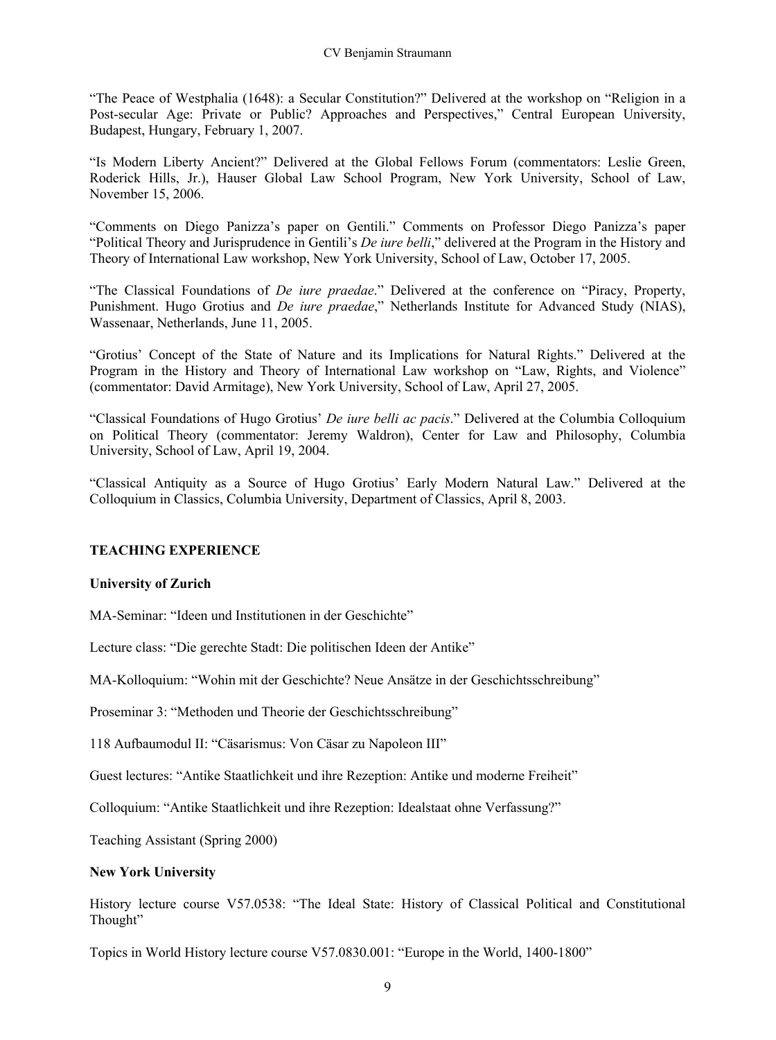"The Peace of Westphalia (1648): a Secular Constitution?" Delivered at the workshop on "Religion in a Post-secular Age: Private or Public? Approaches and Perspectives," Central European University, Budapest, Hungary, February 1, 2007.

"Is Modern Liberty Ancient?" Delivered at the Global Fellows Forum (commentators: Leslie Green, Roderick Hills, Jr.), Hauser Global Law School Program, New York University, School of Law, November 15, 2006.

"Comments on Diego Panizza's paper on Gentili." Comments on Professor Diego Panizza's paper "Political Theory and Jurisprudence in Gentili's *De iure belli*," delivered at the Program in the History and Theory of International Law workshop, New York University, School of Law, October 17, 2005.

"The Classical Foundations of *De iure praedae*." Delivered at the conference on "Piracy, Property, Punishment. Hugo Grotius and *De iure praedae*," Netherlands Institute for Advanced Study (NIAS), Wassenaar, Netherlands, June 11, 2005.

"Grotius' Concept of the State of Nature and its Implications for Natural Rights." Delivered at the Program in the History and Theory of International Law workshop on "Law, Rights, and Violence" (commentator: David Armitage), New York University, School of Law, April 27, 2005.

"Classical Foundations of Hugo Grotius' *De iure belli ac pacis*." Delivered at the Columbia Colloquium on Political Theory (commentator: Jeremy Waldron), Center for Law and Philosophy, Columbia University, School of Law, April 19, 2004.

"Classical Antiquity as a Source of Hugo Grotius' Early Modern Natural Law." Delivered at the Colloquium in Classics, Columbia University, Department of Classics, April 8, 2003.

### **TEACHING EXPERIENCE**

#### **University of Zurich**

MA-Seminar: "Ideen und Institutionen in der Geschichte"

Lecture class: "Die gerechte Stadt: Die politischen Ideen der Antike"

MA-Kolloquium: "Wohin mit der Geschichte? Neue Ansätze in der Geschichtsschreibung"

Proseminar 3: "Methoden und Theorie der Geschichtsschreibung"

118 Aufbaumodul II: "Cäsarismus: Von Cäsar zu Napoleon III"

Guest lectures: "Antike Staatlichkeit und ihre Rezeption: Antike und moderne Freiheit"

Colloquium: "Antike Staatlichkeit und ihre Rezeption: Idealstaat ohne Verfassung?"

Teaching Assistant (Spring 2000)

#### **New York University**

History lecture course V57.0538: "The Ideal State: History of Classical Political and Constitutional Thought"

Topics in World History lecture course V57.0830.001: "Europe in the World, 1400-1800"